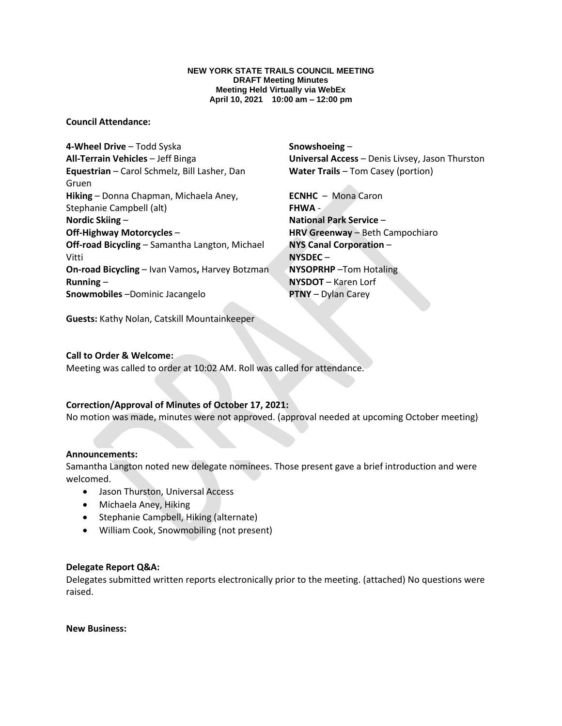#### **NEW YORK STATE TRAILS COUNCIL MEETING DRAFT Meeting Minutes Meeting Held Virtually via WebEx April 10, 2021 10:00 am – 12:00 pm**

# **Council Attendance:**

**4-Wheel Drive** – Todd Syska **All-Terrain Vehicles** – Jeff Binga **Equestrian** – Carol Schmelz, Bill Lasher, Dan Gruen **Hiking** – Donna Chapman, Michaela Aney, Stephanie Campbell (alt) **Nordic Skiing** – **Off-Highway Motorcycles** – **Off-road Bicycling** – Samantha Langton, Michael Vitti **On-road Bicycling** – Ivan Vamos**,** Harvey Botzman **Running** – **Snowmobiles** –Dominic Jacangelo

**Snowshoeing** – **Universal Access** – Denis Livsey, Jason Thurston **Water Trails** – Tom Casey (portion)

**ECNHC** – Mona Caron **FHWA** - **National Park Service** – **HRV Greenway** – Beth Campochiaro **NYS Canal Corporation** – **NYSDEC** – **NYSOPRHP** –Tom Hotaling **NYSDOT** – Karen Lorf **PTNY** – Dylan Carey

**Guests:** Kathy Nolan, Catskill Mountainkeeper

# **Call to Order & Welcome:**

Meeting was called to order at 10:02 AM. Roll was called for attendance.

# **Correction/Approval of Minutes of October 17, 2021:**

No motion was made, minutes were not approved. (approval needed at upcoming October meeting)

## **Announcements:**

Samantha Langton noted new delegate nominees. Those present gave a brief introduction and were welcomed.

- Jason Thurston, Universal Access
- Michaela Aney, Hiking
- Stephanie Campbell, Hiking (alternate)
- William Cook, Snowmobiling (not present)

## **Delegate Report Q&A:**

Delegates submitted written reports electronically prior to the meeting. (attached) No questions were raised.

**New Business:**